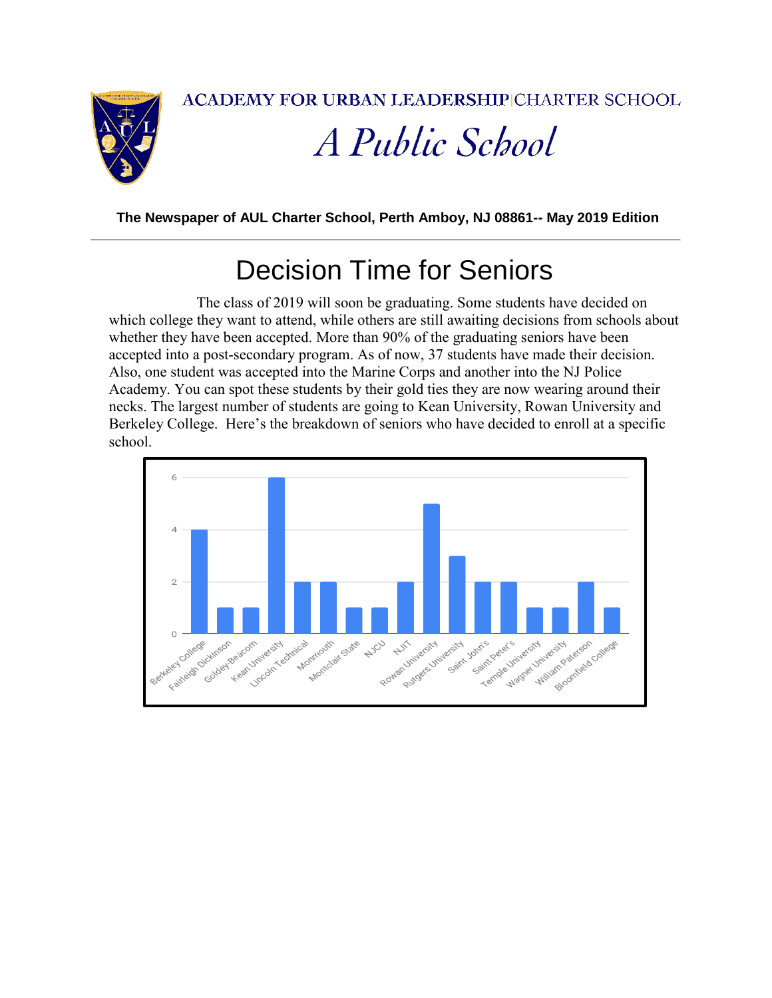**ACADEMY FOR URBAN LEADERSHIP CHARTER SCHOOL** 



# A Public School

**The Newspaper of AUL Charter School, Perth Amboy, NJ 08861-- May 2019 Edition**

#### Decision Time for Seniors

 The class of 2019 will soon be graduating. Some students have decided on which college they want to attend, while others are still awaiting decisions from schools about whether they have been accepted. More than 90% of the graduating seniors have been accepted into a post-secondary program. As of now, 37 students have made their decision. Also, one student was accepted into the Marine Corps and another into the NJ Police Academy. You can spot these students by their gold ties they are now wearing around their necks. The largest number of students are going to Kean University, Rowan University and Berkeley College. Here's the breakdown of seniors who have decided to enroll at a specific school.

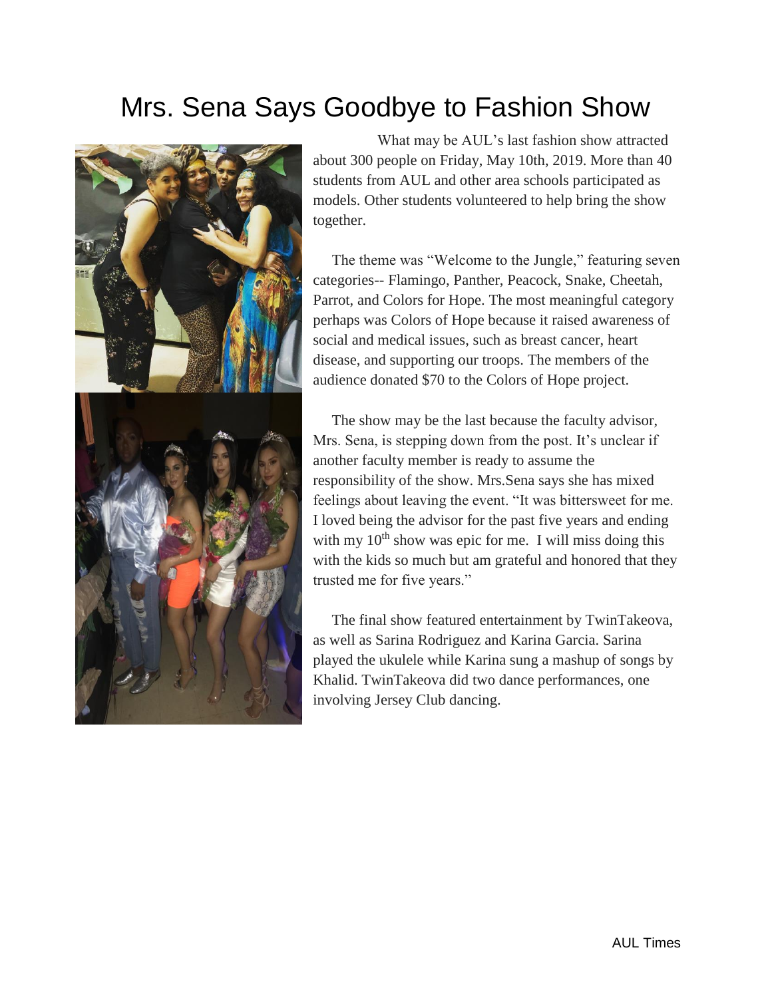#### Mrs. Sena Says Goodbye to Fashion Show



 What may be AUL's last fashion show attracted about 300 people on Friday, May 10th, 2019. More than 40 students from AUL and other area schools participated as models. Other students volunteered to help bring the show together.

 The theme was "Welcome to the Jungle," featuring seven categories-- Flamingo, Panther, Peacock, Snake, Cheetah, Parrot, and Colors for Hope. The most meaningful category perhaps was Colors of Hope because it raised awareness of social and medical issues, such as breast cancer, heart disease, and supporting our troops. The members of the audience donated \$70 to the Colors of Hope project.

 The show may be the last because the faculty advisor, Mrs. Sena, is stepping down from the post. It's unclear if another faculty member is ready to assume the responsibility of the show. Mrs.Sena says she has mixed feelings about leaving the event. "It was bittersweet for me. I loved being the advisor for the past five years and ending with my  $10^{th}$  show was epic for me. I will miss doing this with the kids so much but am grateful and honored that they trusted me for five years."

 The final show featured entertainment by TwinTakeova, as well as Sarina Rodriguez and Karina Garcia. Sarina played the ukulele while Karina sung a mashup of songs by Khalid. TwinTakeova did two dance performances, one involving Jersey Club dancing.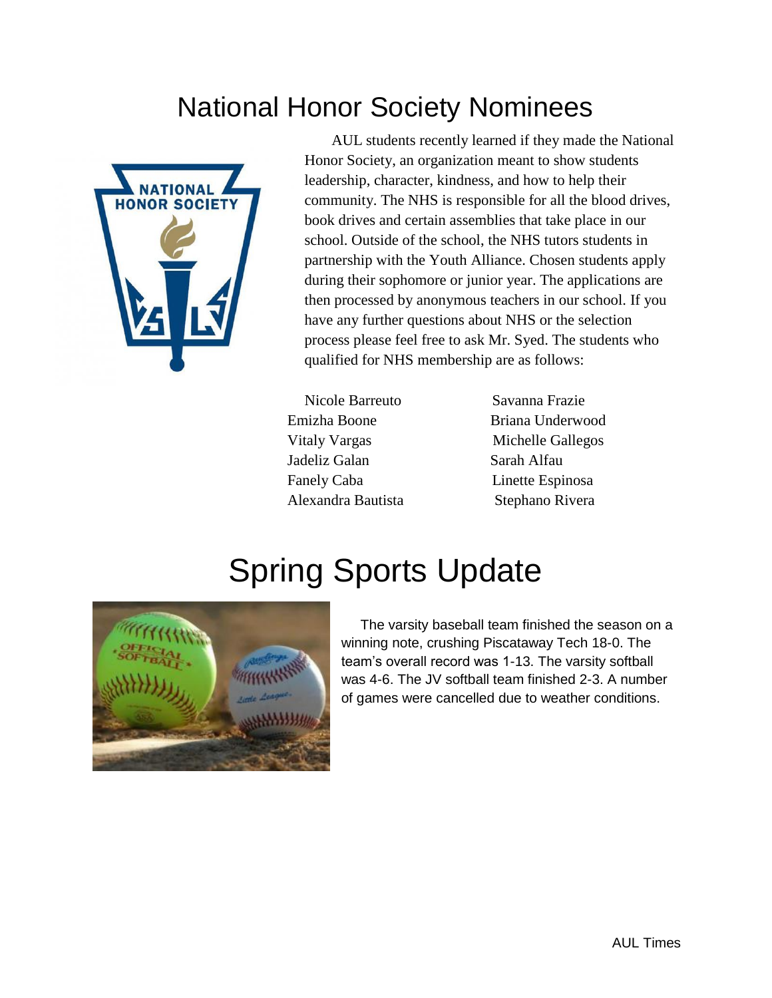### National Honor Society Nominees



 AUL students recently learned if they made the National Honor Society, an organization meant to show students leadership, character, kindness, and how to help their community. The NHS is responsible for all the blood drives, book drives and certain assemblies that take place in our school. Outside of the school, the NHS tutors students in partnership with the Youth Alliance. Chosen students apply during their sophomore or junior year. The applications are then processed by anonymous teachers in our school. If you have any further questions about NHS or the selection process please feel free to ask Mr. Syed. The students who qualified for NHS membership are as follows:

Nicole Barreuto Savanna Frazie Emizha Boone Briana Underwood Vitaly Vargas Michelle Gallegos Jadeliz Galan Sarah Alfau Fanely Caba Linette Espinosa Alexandra Bautista Stephano Rivera

## Spring Sports Update



 The varsity baseball team finished the season on a winning note, crushing Piscataway Tech 18-0. The team's overall record was 1-13. The varsity softball was 4-6. The JV softball team finished 2-3. A number of games were cancelled due to weather conditions.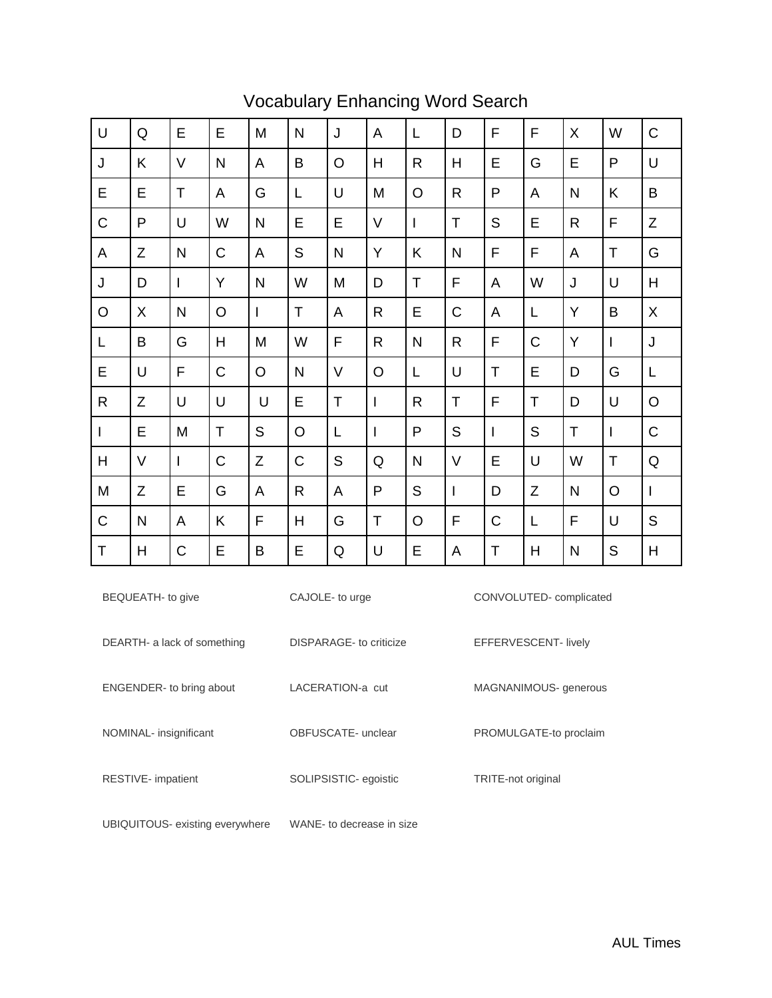| $\cup$         | Q           | E              | E       | M            | N            | J       | A            | L            | D            | F              | F            | X            | W | $\mathsf C$  |
|----------------|-------------|----------------|---------|--------------|--------------|---------|--------------|--------------|--------------|----------------|--------------|--------------|---|--------------|
| J              | K           | $\vee$         | N       | A            | B            | $\circ$ | H            | R            | H            | E              | G            | E            | P | U            |
| E              | E           | $\mathsf{T}$   | A       | G            | L            | $\cup$  | M            | $\circ$      | $\mathsf{R}$ | P              | A            | N            | Κ | B            |
| $\mathsf C$    | P           | U              | W       | $\mathsf{N}$ | E            | E       | $\vee$       | $\mathbf{I}$ | $\mathsf T$  | S              | E            | $\mathsf{R}$ | F | $\mathsf Z$  |
| A              | $\mathsf Z$ | N              | C       | A            | S            | N       | Y            | Κ            | $\mathsf{N}$ | F              | F            | A            | Т | G            |
| J              | D           | $\overline{1}$ | Y       | $\mathsf{N}$ | W            | M       | D            | $\top$       | F            | A              | W            | J            | U | H            |
| $\circ$        | X           | N              | $\circ$ | I            | T            | A       | $\mathsf{R}$ | E            | C            | A              | L            | Y            | B | $\sf X$      |
| L              | B           | G              | H       | M            | W            | F       | R            | $\mathsf{N}$ | R            | F              | C            | Y            | L | J            |
| E              | U           | F              | C       | $\circ$      | N            | $\vee$  | O            | L            | U            | T              | E            | D            | G | L            |
| $\mathsf{R}$   | Z           | U              | U       | U            | E            | T       | T            | $\mathsf R$  | T            | F              | Τ            | D            | U | $\circ$      |
| $\overline{1}$ | E           | M              | T       | S            | O            | L       | $\mathsf{I}$ | P            | S            | $\overline{1}$ | $\mathsf{S}$ | T            | I | $\mathsf C$  |
| H              | $\vee$      | $\mathsf{I}$   | C       | Z            | C            | S       | Q            | N            | $\vee$       | E              | U            | W            | Τ | ${\sf Q}$    |
| M              | $\mathsf Z$ | E              | G       | A            | $\mathsf{R}$ | A       | P            | S            | $\mathsf{I}$ | D              | Z            | N            | O | $\mathbf{I}$ |
| $\mathsf C$    | N           | A              | Κ       | F            | H            | G       | T            | $\circ$      | F            | C              | L            | F            | U | S            |
| $\top$         | Η           | C              | E       | B            | E            | Q       | U            | E            | A            | Τ              | Η            | N            | S | Η            |

#### Vocabulary Enhancing Word Search

| BEQUEATH- to give               | CAJOLE- to urge         | CONVOLUTED-complicated |
|---------------------------------|-------------------------|------------------------|
| DEARTH- a lack of something     | DISPARAGE- to criticize | EFFERVESCENT- lively   |
| <b>ENGENDER-</b> to bring about | I ACERATION-a cut       | MAGNANIMOUS- generous  |
| NOMINAL- insignificant          | OBFUSCATE- unclear      | PROMULGATE-to proclaim |
| RESTIVE- impatient              | SOLIPSISTIC- egoistic   | TRITE-not original     |
|                                 |                         |                        |

UBIQUITOUS- existing everywhere WANE- to decrease in size